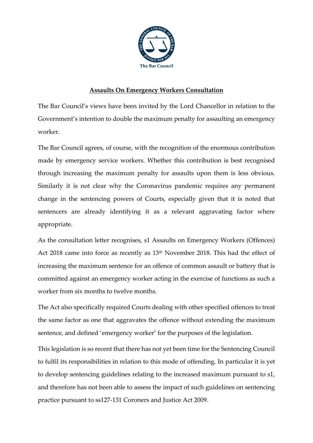

## **Assaults On Emergency Workers Consultation**

The Bar Council's views have been invited by the Lord Chancellor in relation to the Government's intention to double the maximum penalty for assaulting an emergency worker.

The Bar Council agrees, of course, with the recognition of the enormous contribution made by emergency service workers. Whether this contribution is best recognised through increasing the maximum penalty for assaults upon them is less obvious. Similarly it is not clear why the Coronavirus pandemic requires any permanent change in the sentencing powers of Courts, especially given that it is noted that sentencers are already identifying it as a relevant aggravating factor where appropriate.

As the consultation letter recognises, s1 Assaults on Emergency Workers (Offences) Act 2018 came into force as recently as 13<sup>th</sup> November 2018. This had the effect of increasing the maximum sentence for an offence of common assault or battery that is committed against an emergency worker acting in the exercise of functions as such a worker from six months to twelve months.

The Act also specifically required Courts dealing with other specified offences to treat the same factor as one that aggravates the offence without extending the maximum sentence, and defined 'emergency worker' for the purposes of the legislation.

This legislation is so recent that there has not yet been time for the Sentencing Council to fulfil its responsibilities in relation to this mode of offending. In particular it is yet to develop sentencing guidelines relating to the increased maximum pursuant to s1, and therefore has not been able to assess the impact of such guidelines on sentencing practice pursuant to ss127-131 Coroners and Justice Act 2009.